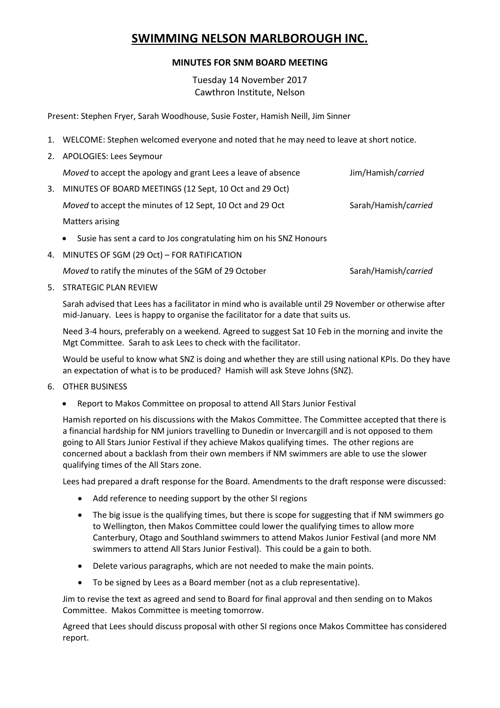## **SWIMMING NELSON MARLBOROUGH INC.**

## **MINUTES FOR SNM BOARD MEETING**

Tuesday 14 November 2017 Cawthron Institute, Nelson

Present: Stephen Fryer, Sarah Woodhouse, Susie Foster, Hamish Neill, Jim Sinner

- 1. WELCOME: Stephen welcomed everyone and noted that he may need to leave at short notice.
- 2. APOLOGIES: Lees Seymour

|    | Moved to accept the apology and grant Lees a leave of absence                   | Jim/Hamish/carried   |
|----|---------------------------------------------------------------------------------|----------------------|
| 3. | MINUTES OF BOARD MEETINGS (12 Sept, 10 Oct and 29 Oct)                          |                      |
|    | Moved to accept the minutes of 12 Sept, 10 Oct and 29 Oct                       | Sarah/Hamish/carried |
|    | Matters arising                                                                 |                      |
|    | Susie has sent a card to Jos congratulating him on his SNZ Honours<br>$\bullet$ |                      |

4. MINUTES OF SGM (29 Oct) – FOR RATIFICATION

*Moved* to ratify the minutes of the SGM of 29 October Sarah/Hamish/*carried* 

5. STRATEGIC PLAN REVIEW

Sarah advised that Lees has a facilitator in mind who is available until 29 November or otherwise after mid-January. Lees is happy to organise the facilitator for a date that suits us.

Need 3-4 hours, preferably on a weekend. Agreed to suggest Sat 10 Feb in the morning and invite the Mgt Committee. Sarah to ask Lees to check with the facilitator.

Would be useful to know what SNZ is doing and whether they are still using national KPIs. Do they have an expectation of what is to be produced? Hamish will ask Steve Johns (SNZ).

- 6. OTHER BUSINESS
	- Report to Makos Committee on proposal to attend All Stars Junior Festival

Hamish reported on his discussions with the Makos Committee. The Committee accepted that there is a financial hardship for NM juniors travelling to Dunedin or Invercargill and is not opposed to them going to All Stars Junior Festival if they achieve Makos qualifying times. The other regions are concerned about a backlash from their own members if NM swimmers are able to use the slower qualifying times of the All Stars zone.

Lees had prepared a draft response for the Board. Amendments to the draft response were discussed:

- Add reference to needing support by the other SI regions
- The big issue is the qualifying times, but there is scope for suggesting that if NM swimmers go to Wellington, then Makos Committee could lower the qualifying times to allow more Canterbury, Otago and Southland swimmers to attend Makos Junior Festival (and more NM swimmers to attend All Stars Junior Festival). This could be a gain to both.
- Delete various paragraphs, which are not needed to make the main points.
- To be signed by Lees as a Board member (not as a club representative).

Jim to revise the text as agreed and send to Board for final approval and then sending on to Makos Committee. Makos Committee is meeting tomorrow.

Agreed that Lees should discuss proposal with other SI regions once Makos Committee has considered report.